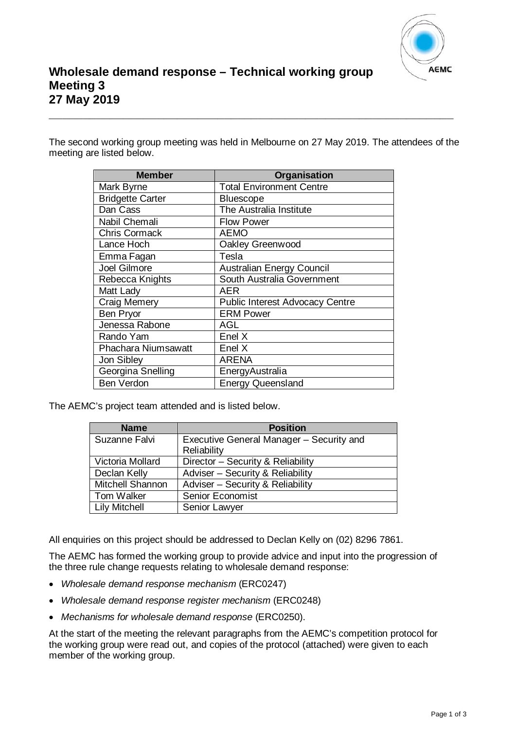

The second working group meeting was held in Melbourne on 27 May 2019. The attendees of the meeting are listed below.

**\_\_\_\_\_\_\_\_\_\_\_\_\_\_\_\_\_\_\_\_\_\_\_\_\_\_\_\_\_\_\_\_\_\_\_\_\_\_\_\_\_\_\_\_\_\_\_\_\_\_\_\_\_\_\_\_\_\_\_\_**

| <b>Member</b>              | Organisation                           |
|----------------------------|----------------------------------------|
| Mark Byrne                 | <b>Total Environment Centre</b>        |
| <b>Bridgette Carter</b>    | <b>Bluescope</b>                       |
| Dan Cass                   | The Australia Institute                |
| Nabil Chemali              | <b>Flow Power</b>                      |
| <b>Chris Cormack</b>       | <b>AEMO</b>                            |
| Lance Hoch                 | Oakley Greenwood                       |
| Emma Fagan                 | Tesla                                  |
| Joel Gilmore               | Australian Energy Council              |
| Rebecca Knights            | South Australia Government             |
| Matt Lady                  | <b>AER</b>                             |
| <b>Craig Memery</b>        | <b>Public Interest Advocacy Centre</b> |
| <b>Ben Pryor</b>           | <b>ERM Power</b>                       |
| Jenessa Rabone             | AGL                                    |
| Rando Yam                  | Enel X                                 |
| <b>Phachara Niumsawatt</b> | Enel X                                 |
| Jon Sibley                 | <b>ARENA</b>                           |
| Georgina Snelling          | EnergyAustralia                        |
| <b>Ben Verdon</b>          | <b>Energy Queensland</b>               |

The AEMC's project team attended and is listed below.

| <b>Name</b>          | <b>Position</b>                          |
|----------------------|------------------------------------------|
| Suzanne Falvi        | Executive General Manager - Security and |
|                      | Reliability                              |
| Victoria Mollard     | Director - Security & Reliability        |
| Declan Kelly         | Adviser - Security & Reliability         |
| Mitchell Shannon     | Adviser - Security & Reliability         |
| Tom Walker           | <b>Senior Economist</b>                  |
| <b>Lily Mitchell</b> | Senior Lawyer                            |

All enquiries on this project should be addressed to Declan Kelly on (02) 8296 7861.

The AEMC has formed the working group to provide advice and input into the progression of the three rule change requests relating to wholesale demand response:

- *Wholesale demand response mechanism* (ERC0247)
- *Wholesale demand response register mechanism* (ERC0248)
- *Mechanisms for wholesale demand response* (ERC0250).

At the start of the meeting the relevant paragraphs from the AEMC's competition protocol for the working group were read out, and copies of the protocol (attached) were given to each member of the working group.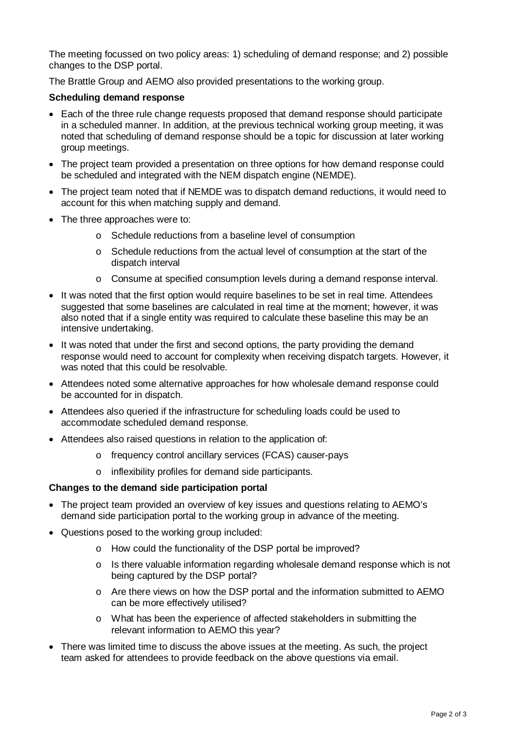The meeting focussed on two policy areas: 1) scheduling of demand response; and 2) possible changes to the DSP portal.

The Brattle Group and AEMO also provided presentations to the working group.

# **Scheduling demand response**

- Each of the three rule change requests proposed that demand response should participate in a scheduled manner. In addition, at the previous technical working group meeting, it was noted that scheduling of demand response should be a topic for discussion at later working group meetings.
- The project team provided a presentation on three options for how demand response could be scheduled and integrated with the NEM dispatch engine (NEMDE).
- The project team noted that if NEMDE was to dispatch demand reductions, it would need to account for this when matching supply and demand.
- The three approaches were to:
	- o Schedule reductions from a baseline level of consumption
	- o Schedule reductions from the actual level of consumption at the start of the dispatch interval
	- o Consume at specified consumption levels during a demand response interval.
- It was noted that the first option would require baselines to be set in real time. Attendees suggested that some baselines are calculated in real time at the moment; however, it was also noted that if a single entity was required to calculate these baseline this may be an intensive undertaking.
- It was noted that under the first and second options, the party providing the demand response would need to account for complexity when receiving dispatch targets. However, it was noted that this could be resolvable.
- Attendees noted some alternative approaches for how wholesale demand response could be accounted for in dispatch.
- Attendees also queried if the infrastructure for scheduling loads could be used to accommodate scheduled demand response.
- Attendees also raised questions in relation to the application of:
	- o frequency control ancillary services (FCAS) causer-pays
	- o inflexibility profiles for demand side participants.

## **Changes to the demand side participation portal**

- The project team provided an overview of key issues and questions relating to AEMO's demand side participation portal to the working group in advance of the meeting.
- Questions posed to the working group included:
	- o How could the functionality of the DSP portal be improved?
	- o Is there valuable information regarding wholesale demand response which is not being captured by the DSP portal?
	- o Are there views on how the DSP portal and the information submitted to AEMO can be more effectively utilised?
	- o What has been the experience of affected stakeholders in submitting the relevant information to AEMO this year?
- There was limited time to discuss the above issues at the meeting. As such, the project team asked for attendees to provide feedback on the above questions via email.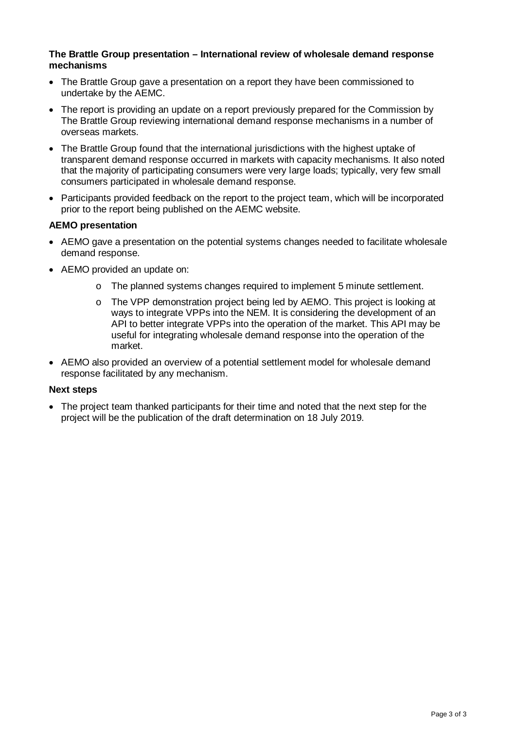#### **The Brattle Group presentation – International review of wholesale demand response mechanisms**

- The Brattle Group gave a presentation on a report they have been commissioned to undertake by the AEMC.
- The report is providing an update on a report previously prepared for the Commission by The Brattle Group reviewing international demand response mechanisms in a number of overseas markets.
- The Brattle Group found that the international jurisdictions with the highest uptake of transparent demand response occurred in markets with capacity mechanisms. It also noted that the majority of participating consumers were very large loads; typically, very few small consumers participated in wholesale demand response.
- Participants provided feedback on the report to the project team, which will be incorporated prior to the report being published on the AEMC website.

# **AEMO presentation**

- AEMO gave a presentation on the potential systems changes needed to facilitate wholesale demand response.
- AEMO provided an update on:
	- o The planned systems changes required to implement 5 minute settlement.
	- o The VPP demonstration project being led by AEMO. This project is looking at ways to integrate VPPs into the NEM. It is considering the development of an API to better integrate VPPs into the operation of the market. This API may be useful for integrating wholesale demand response into the operation of the market.
- AEMO also provided an overview of a potential settlement model for wholesale demand response facilitated by any mechanism.

## **Next steps**

• The project team thanked participants for their time and noted that the next step for the project will be the publication of the draft determination on 18 July 2019.